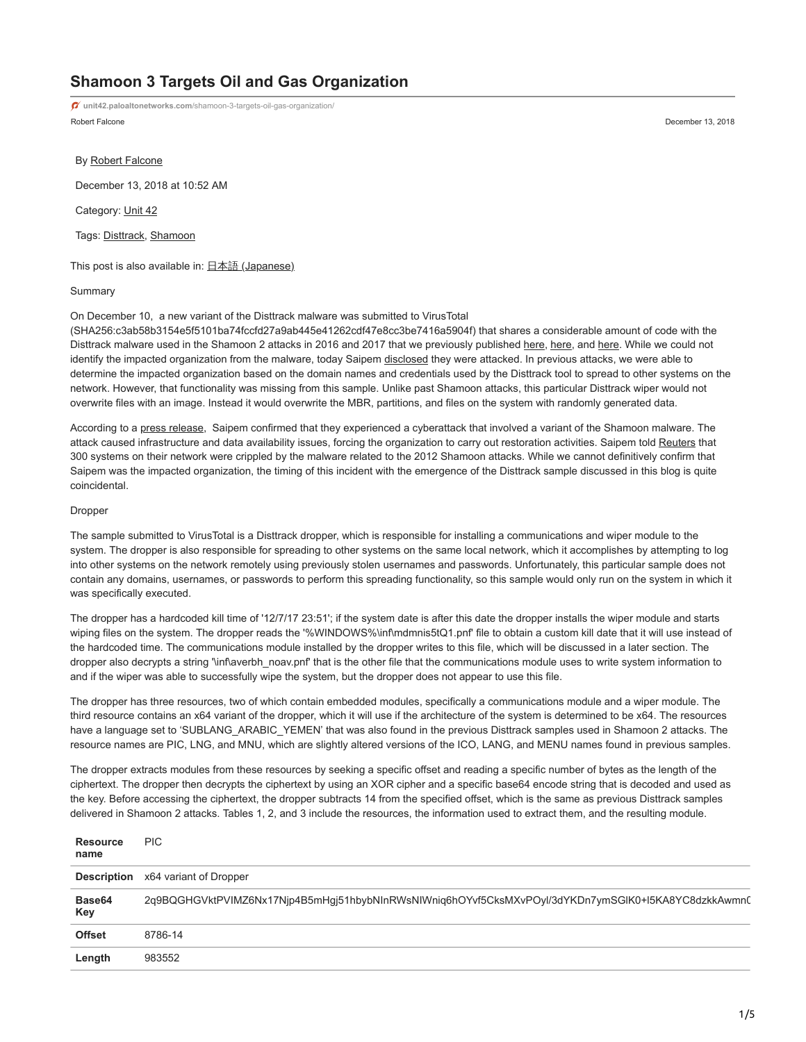# **Shamoon 3 Targets Oil and Gas Organization**

Robert Falcone December 13, 2018 **unit42.paloaltonetworks.com**[/shamoon-3-targets-oil-gas-organization/](https://unit42.paloaltonetworks.com/shamoon-3-targets-oil-gas-organization/)

By [Robert Falcone](https://unit42.paloaltonetworks.com/author/robertfalcone/)

December 13, 2018 at 10:52 AM

Category: [Unit 42](https://unit42.paloaltonetworks.com/category/unit42/)

Tags: [Disttrack,](https://unit42.paloaltonetworks.com/tag/disttrack/) [Shamoon](https://unit42.paloaltonetworks.com/tag/shamoon/)

This post is also available in:  $\underline{\Box}$   $\underline{\Diamond}$   $\underline{\Diamond}$   $\underline{\Diamond}$   $\underline{\Diamond}$   $\underline{\Diamond}$   $\underline{\Diamond}$   $\underline{\Diamond}$   $\underline{\Diamond}$   $\underline{\Diamond}$   $\underline{\Diamond}$   $\underline{\Diamond}$   $\underline{\Diamond}$   $\underline{\Diamond}$   $\underline{\Diamond}$   $\underline{\Diamond}$   $\underline{\Diamond}$   $\underline{\Diamond}$   $\underline{\Diamond}$   $\underline{\Diamond}$   $\underline{\Diamond}$ 

# Summary

On December 10, a new variant of the Disttrack malware was submitted to VirusTotal

(SHA256:c3ab58b3154e5f5101ba74fccfd27a9ab445e41262cdf47e8cc3be7416a5904f) that shares a considerable amount of code with the Disttrack malware used in the Shamoon 2 attacks in 2016 and 2017 that we previously published [here,](https://blog.paloaltonetworks.com/2016/11/unit42-shamoon-2-return-disttrack-wiper/) [here](https://blog.paloaltonetworks.com/2017/03/unit42-shamoon-2-delivering-disttrack/), and here. While we could not identify the impacted organization from the malware, today Saipem [disclosed](https://www.reuters.com/article/us-cyber-shamoon/saipem-says-shamoon-variant-crippled-hundreds-of-computers-idUSKBN1OB2FA) they were attacked. In previous attacks, we were able to determine the impacted organization based on the domain names and credentials used by the Disttrack tool to spread to other systems on the network. However, that functionality was missing from this sample. Unlike past Shamoon attacks, this particular Disttrack wiper would not overwrite files with an image. Instead it would overwrite the MBR, partitions, and files on the system with randomly generated data.

According to a [press release](http://www.saipem.com/sites/SAIPEM_en_IT/con-side-dx/Press%20releases/2018/Cyber%20attack%20update.page), Saipem confirmed that they experienced a cyberattack that involved a variant of the Shamoon malware. The attack caused infrastructure and data availability issues, forcing the organization to carry out restoration activities. Saipem told [Reuters](https://www.reuters.com/article/us-cyber-shamoon/saipem-says-shamoon-variant-crippled-hundreds-of-computers-idUSKBN1OB2FA) that 300 systems on their network were crippled by the malware related to the 2012 Shamoon attacks. While we cannot definitively confirm that Saipem was the impacted organization, the timing of this incident with the emergence of the Disttrack sample discussed in this blog is quite coincidental.

# Dropper

The sample submitted to VirusTotal is a Disttrack dropper, which is responsible for installing a communications and wiper module to the system. The dropper is also responsible for spreading to other systems on the same local network, which it accomplishes by attempting to log into other systems on the network remotely using previously stolen usernames and passwords. Unfortunately, this particular sample does not contain any domains, usernames, or passwords to perform this spreading functionality, so this sample would only run on the system in which it was specifically executed.

The dropper has a hardcoded kill time of '12/7/17 23:51'; if the system date is after this date the dropper installs the wiper module and starts wiping files on the system. The dropper reads the '%WINDOWS%\inf\mdmnis5tQ1.pnf' file to obtain a custom kill date that it will use instead of the hardcoded time. The communications module installed by the dropper writes to this file, which will be discussed in a later section. The dropper also decrypts a string '\inf\averbh\_noav.pnf' that is the other file that the communications module uses to write system information to and if the wiper was able to successfully wipe the system, but the dropper does not appear to use this file.

The dropper has three resources, two of which contain embedded modules, specifically a communications module and a wiper module. The third resource contains an x64 variant of the dropper, which it will use if the architecture of the system is determined to be x64. The resources have a language set to 'SUBLANG\_ARABIC\_YEMEN' that was also found in the previous Disttrack samples used in Shamoon 2 attacks. The resource names are PIC, LNG, and MNU, which are slightly altered versions of the ICO, LANG, and MENU names found in previous samples.

The dropper extracts modules from these resources by seeking a specific offset and reading a specific number of bytes as the length of the ciphertext. The dropper then decrypts the ciphertext by using an XOR cipher and a specific base64 encode string that is decoded and used as the key. Before accessing the ciphertext, the dropper subtracts 14 from the specified offset, which is the same as previous Disttrack samples delivered in Shamoon 2 attacks. Tables 1, 2, and 3 include the resources, the information used to extract them, and the resulting module.

| <b>Resource</b><br>name | <b>PIC</b>                                                                                          |
|-------------------------|-----------------------------------------------------------------------------------------------------|
|                         | <b>Description</b> x64 variant of Dropper                                                           |
| Base64<br>Key           | 2q9BQGHGVktPVIMZ6Nx17Njp4B5mHgj51hbybNInRWsNIWniq6hOYvf5CksMXvPOyl/3dYKDn7ymSGIK0+I5KA8YC8dzkkAwmn( |
| <b>Offset</b>           | 8786-14                                                                                             |
| Length                  | 983552                                                                                              |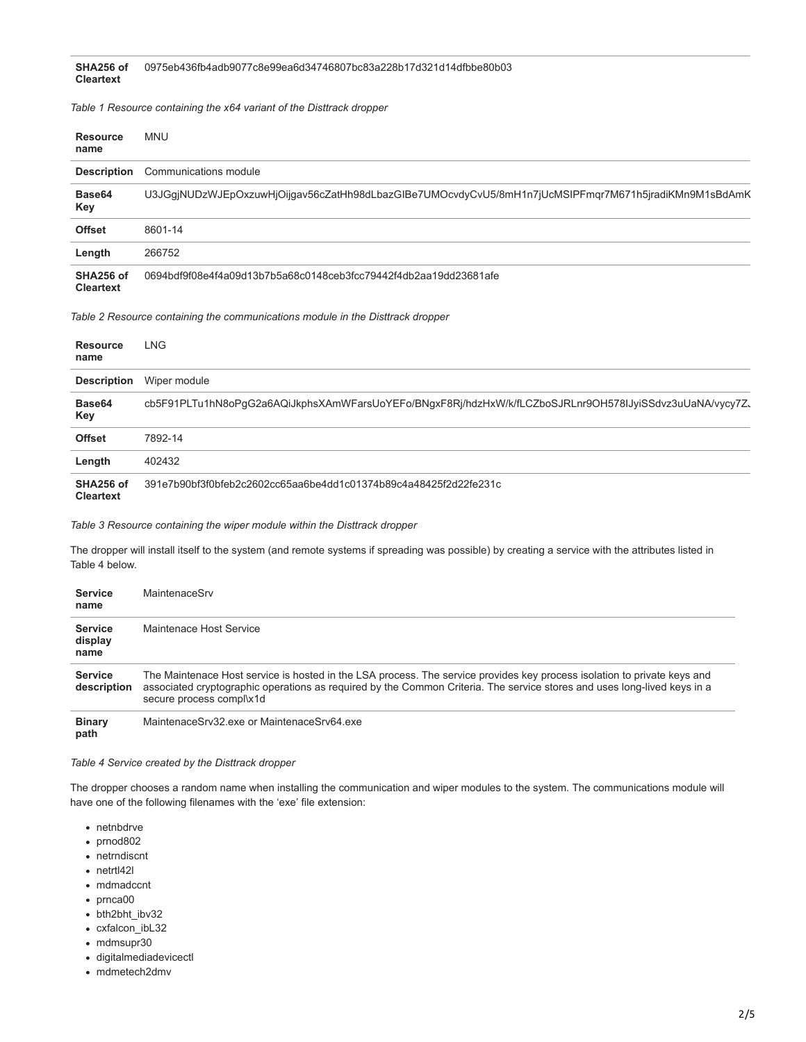*Table 1 Resource containing the x64 variant of the Disttrack dropper*

| <b>Resource</b><br>name       | <b>MNU</b>                                                                                           |
|-------------------------------|------------------------------------------------------------------------------------------------------|
| <b>Description</b>            | Communications module                                                                                |
| Base64<br>Key                 | U3JGgjNUDzWJEpOxzuwHjOijgav56cZatHh98dLbazGlBe7UMOcvdyCvU5/8mH1n7jUcMSIPFmgr7M671h5jradiKMn9M1sBdAmK |
| <b>Offset</b>                 | 8601-14                                                                                              |
| Length                        | 266752                                                                                               |
| SHA256 of<br><b>Cleartext</b> | 0694bdf9f08e4f4a09d13b7b5a68c0148ceb3fcc79442f4db2aa19dd23681afe                                     |

*Table 2 Resource containing the communications module in the Disttrack dropper*

| <b>Resource</b><br>name       | <b>LNG</b>                                                                                              |
|-------------------------------|---------------------------------------------------------------------------------------------------------|
| <b>Description</b>            | Wiper module                                                                                            |
| Base64<br>Key                 | cb5F91PLTu1hN8oPgG2a6AQiJkphsXAmWFarsUoYEFo/BNgxF8Rj/hdzHxW/k/fLCZboSJRLnr9OH578IJyiSSdvz3uUaNA/vycy7Z、 |
| <b>Offset</b>                 | 7892-14                                                                                                 |
| Length                        | 402432                                                                                                  |
| SHA256 of<br><b>Cleartext</b> | 391e7b90bf3f0bfeb2c2602cc65aa6be4dd1c01374b89c4a48425f2d22fe231c                                        |

*Table 3 Resource containing the wiper module within the Disttrack dropper*

The dropper will install itself to the system (and remote systems if spreading was possible) by creating a service with the attributes listed in Table 4 below.

| <b>Service</b><br>name            | MaintenaceSrv                                                                                                                                                                                                                                                                    |
|-----------------------------------|----------------------------------------------------------------------------------------------------------------------------------------------------------------------------------------------------------------------------------------------------------------------------------|
| <b>Service</b><br>display<br>name | Maintenace Host Service                                                                                                                                                                                                                                                          |
| <b>Service</b><br>description     | The Maintenace Host service is hosted in the LSA process. The service provides key process isolation to private keys and<br>associated cryptographic operations as required by the Common Criteria. The service stores and uses long-lived keys in a<br>secure process compl\x1d |
| <b>Ringry</b>                     | MaintenaceSn <sup>22</sup> exe or MaintenaceSn <sub>164</sub> exe                                                                                                                                                                                                                |

**Binary path** MaintenaceSrv32.exe or MaintenaceSrv64.exe

## *Table 4 Service created by the Disttrack dropper*

The dropper chooses a random name when installing the communication and wiper modules to the system. The communications module will have one of the following filenames with the 'exe' file extension:

- netnbdrve
- prnod802
- netrndiscnt
- netrtl42l
- mdmadccnt
- prnca00
- bth2bht\_ibv32
- cxfalcon\_ibL32
- mdmsupr30
- digitalmediadevicectl
- mdmetech2dmv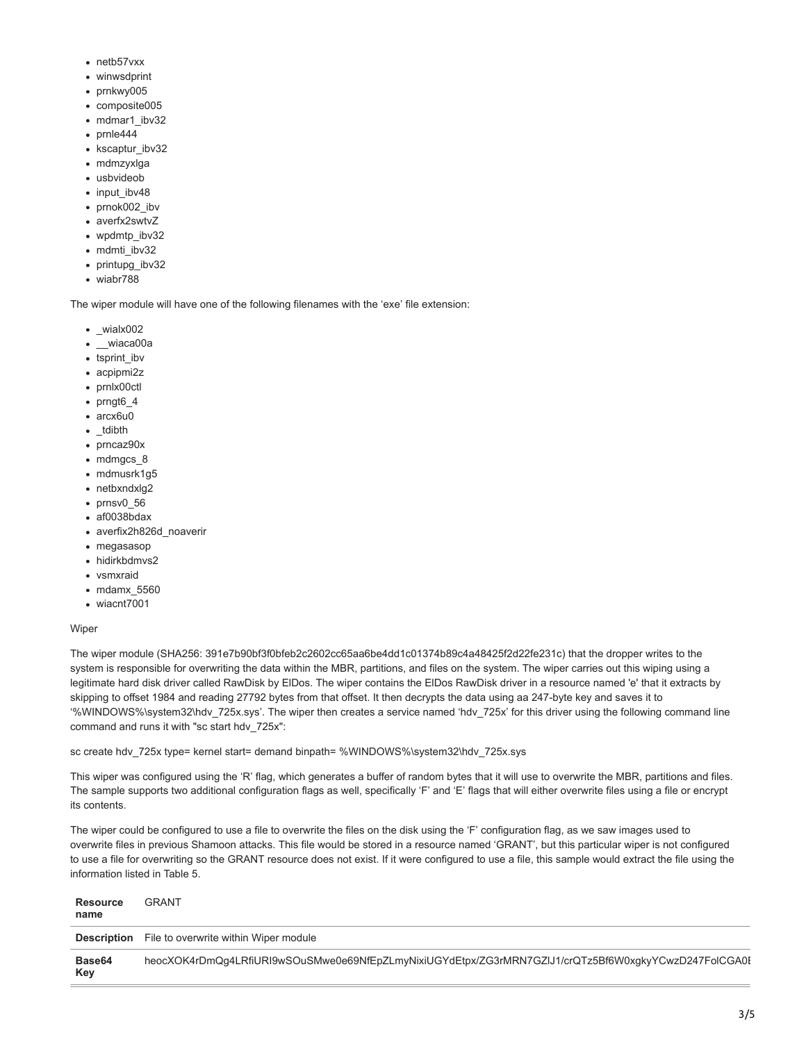- netb57vxx
- winwsdprint
- prnkwy005
- composite005
- mdmar1\_ibv32
- $\bullet$  prnle444
- kscaptur\_ibv32
- mdmzyxlga
- usbvideob
- input\_ibv48
- prnok002 ibv
- averfx2swtvZ
- wpdmtp\_ibv32
- mdmti ibv32
- printupg\_ibv32
- wiabr788

The wiper module will have one of the following filenames with the 'exe' file extension:

- $\bullet$  wialx002
- \_\_wiaca00a
- tsprint\_ibv
- acpipmi2z
- prnlx00ctl
- prngt6\_4
- arcx6u0
- tdibth
- prncaz90x
- mdmgcs 8
- mdmusrk1g5
- netbxndxlg2
- $\bullet$  prnsv0 56
- af0038bdax
- averfix2h826d\_noaverir
- megasasop
- hidirkbdmvs2
- vsmxraid
- mdamx 5560
- wiacnt7001

# Wiper

The wiper module (SHA256: 391e7b90bf3f0bfeb2c2602cc65aa6be4dd1c01374b89c4a48425f2d22fe231c) that the dropper writes to the system is responsible for overwriting the data within the MBR, partitions, and files on the system. The wiper carries out this wiping using a legitimate hard disk driver called RawDisk by ElDos. The wiper contains the ElDos RawDisk driver in a resource named 'e' that it extracts by skipping to offset 1984 and reading 27792 bytes from that offset. It then decrypts the data using aa 247-byte key and saves it to '%WINDOWS%\system32\hdv\_725x.sys'. The wiper then creates a service named 'hdv\_725x' for this driver using the following command line command and runs it with "sc start hdv\_725x":

sc create hdv\_725x type= kernel start= demand binpath= %WINDOWS%\system32\hdv\_725x.sys

This wiper was configured using the 'R' flag, which generates a buffer of random bytes that it will use to overwrite the MBR, partitions and files. The sample supports two additional configuration flags as well, specifically 'F' and 'E' flags that will either overwrite files using a file or encrypt its contents.

The wiper could be configured to use a file to overwrite the files on the disk using the 'F' configuration flag, as we saw images used to overwrite files in previous Shamoon attacks. This file would be stored in a resource named 'GRANT', but this particular wiper is not configured to use a file for overwriting so the GRANT resource does not exist. If it were configured to use a file, this sample would extract the file using the information listed in Table 5.

| Resource<br>name | <b>GRANT</b>                                                                                         |
|------------------|------------------------------------------------------------------------------------------------------|
|                  | <b>Description</b> File to overwrite within Wiper module                                             |
| Base64<br>Key    | heocXOK4rDmQq4LRfiURI9wSOuSMwe0e69NfEpZLmyNixiUGYdEtpx/ZG3rMRN7GZIJ1/crQTz5Bf6W0xqkyYCwzD247FoICGA0I |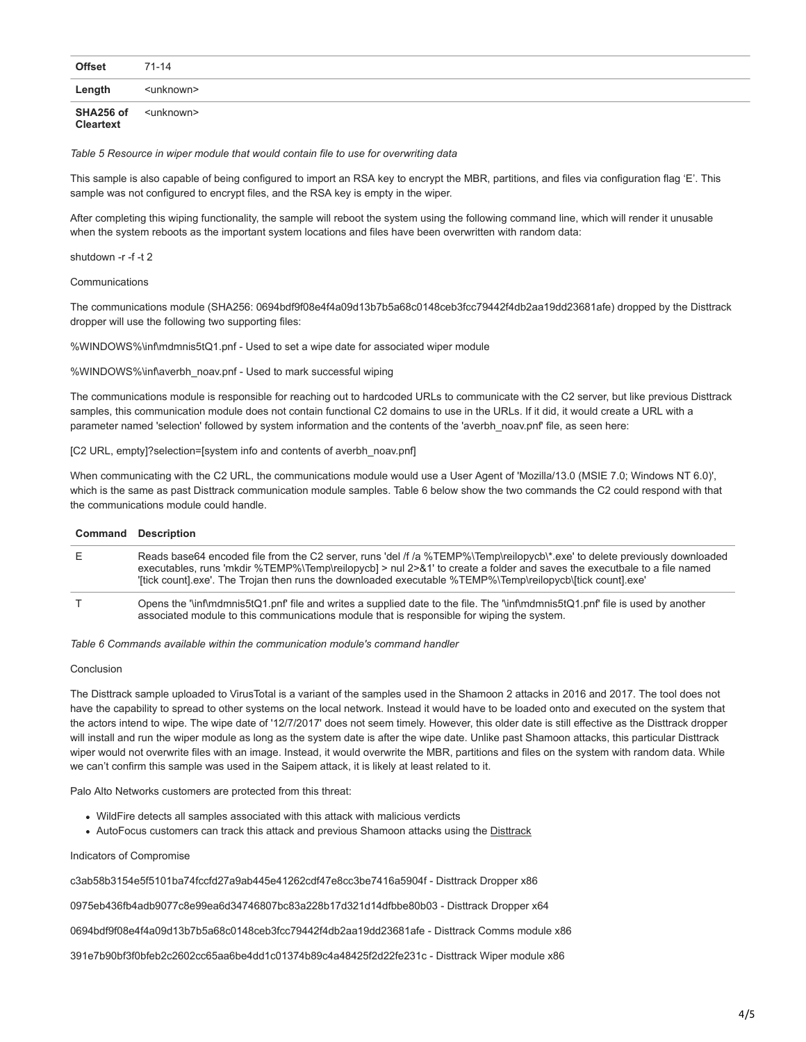| <b>Offset</b>          | $71 - 14$           |
|------------------------|---------------------|
| Length                 | <unknown></unknown> |
| SHA256 of<br>Cleartext | <unknown></unknown> |

*Table 5 Resource in wiper module that would contain file to use for overwriting data*

This sample is also capable of being configured to import an RSA key to encrypt the MBR, partitions, and files via configuration flag 'E'. This sample was not configured to encrypt files, and the RSA key is empty in the wiper.

After completing this wiping functionality, the sample will reboot the system using the following command line, which will render it unusable when the system reboots as the important system locations and files have been overwritten with random data:

shutdown -r -f -t 2

**Communications** 

The communications module (SHA256: 0694bdf9f08e4f4a09d13b7b5a68c0148ceb3fcc79442f4db2aa19dd23681afe) dropped by the Disttrack dropper will use the following two supporting files:

%WINDOWS%\inf\mdmnis5tQ1.pnf - Used to set a wipe date for associated wiper module

%WINDOWS%\inf\averbh\_noav.pnf - Used to mark successful wiping

The communications module is responsible for reaching out to hardcoded URLs to communicate with the C2 server, but like previous Disttrack samples, this communication module does not contain functional C2 domains to use in the URLs. If it did, it would create a URL with a parameter named 'selection' followed by system information and the contents of the 'averbh\_noav.pnf' file, as seen here:

[C2 URL, empty]?selection=[system info and contents of averbh\_noav.pnf]

When communicating with the C2 URL, the communications module would use a User Agent of 'Mozilla/13.0 (MSIE 7.0; Windows NT 6.0)', which is the same as past Disttrack communication module samples. Table 6 below show the two commands the C2 could respond with that the communications module could handle.

## **Command Description**

| Е | Reads base64 encoded file from the C2 server, runs 'del /f /a %TEMP%\Temp\reilopycb\*.exe' to delete previously downloaded                                                                                                            |
|---|---------------------------------------------------------------------------------------------------------------------------------------------------------------------------------------------------------------------------------------|
|   | executables, runs 'mkdir %TEMP%\Temp\reilopycb] > nul 2>&1' to create a folder and saves the executbale to a file named<br>"[tick count] exe'. The Troian then runs the downloaded executable %TEMP%\Temp\reilopycb\[tick count] exe' |
|   | Opens the 'linflmdmnis5tQ1.pnf' file and writes a supplied date to the file. The 'linflmdmnis5tQ1.pnf' file is used by another<br>associated module to this communications module that is responsible for wiping the system.          |

*Table 6 Commands available within the communication module's command handler*

#### Conclusion

The Disttrack sample uploaded to VirusTotal is a variant of the samples used in the Shamoon 2 attacks in 2016 and 2017. The tool does not have the capability to spread to other systems on the local network. Instead it would have to be loaded onto and executed on the system that the actors intend to wipe. The wipe date of '12/7/2017' does not seem timely. However, this older date is still effective as the Disttrack dropper will install and run the wiper module as long as the system date is after the wipe date. Unlike past Shamoon attacks, this particular Disttrack wiper would not overwrite files with an image. Instead, it would overwrite the MBR, partitions and files on the system with random data. While we can't confirm this sample was used in the Saipem attack, it is likely at least related to it.

Palo Alto Networks customers are protected from this threat:

- WildFire detects all samples associated with this attack with malicious verdicts
- AutoFocus customers can track this attack and previous Shamoon attacks using the [Disttrack](https://autofocus.paloaltonetworks.com/#/tag/Unit42.Disttrack)

#### Indicators of Compromise

c3ab58b3154e5f5101ba74fccfd27a9ab445e41262cdf47e8cc3be7416a5904f - Disttrack Dropper x86

0975eb436fb4adb9077c8e99ea6d34746807bc83a228b17d321d14dfbbe80b03 - Disttrack Dropper x64

0694bdf9f08e4f4a09d13b7b5a68c0148ceb3fcc79442f4db2aa19dd23681afe - Disttrack Comms module x86

391e7b90bf3f0bfeb2c2602cc65aa6be4dd1c01374b89c4a48425f2d22fe231c - Disttrack Wiper module x86